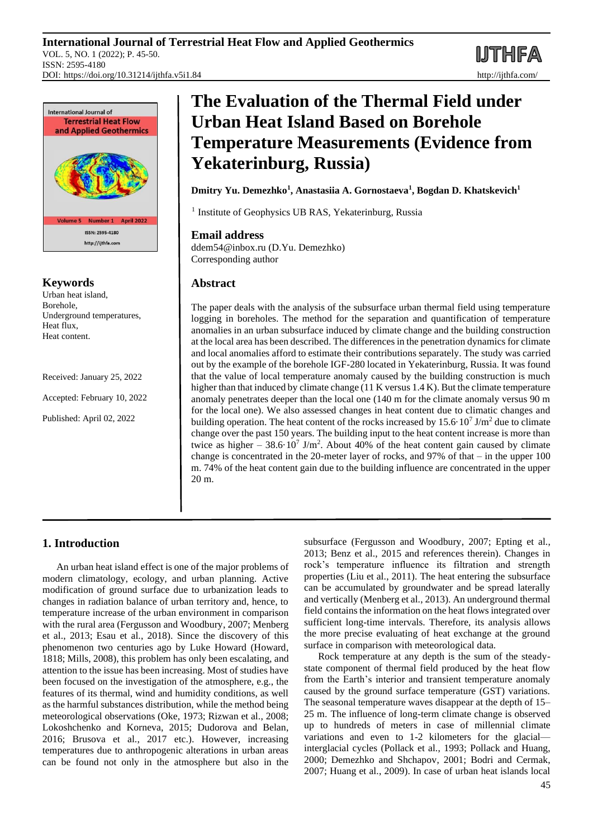**MTHFA** 



## **Keywords**

Urban heat island, Borehole, Underground temperatures, Heat flux, Heat content.

Received: January 25, 2022

Accepted: February 10, 2022

Published: April 02, 2022

# **The Evaluation of the Thermal Field under Urban Heat Island Based on Borehole Temperature Measurements (Evidence from Yekaterinburg, Russia)**

**Dmitry Yu. Demezhko<sup>1</sup> , Anastasiia A. Gornostaeva<sup>1</sup> , Bogdan D. Khatskevich<sup>1</sup>**

<sup>1</sup> Institute of Geophysics UB RAS, Yekaterinburg, Russia

## **Email address**

ddem54@inbox.ru (D.Yu. Demezhko) Corresponding author

## **Abstract**

The paper deals with the analysis of the subsurface urban thermal field using temperature logging in boreholes. The method for the separation and quantification of temperature anomalies in an urban subsurface induced by climate change and the building construction at the local area has been described. The differences in the penetration dynamics for climate and local anomalies afford to estimate their contributions separately. The study was carried out by the example of the borehole IGF-280 located in Yekaterinburg, Russia. It was found that the value of local temperature anomaly caused by the building construction is much higher than that induced by climate change (11 K versus 1.4 K). But the climate temperature anomaly penetrates deeper than the local one (140 m for the climate anomaly versus 90 m for the local one). We also assessed changes in heat content due to climatic changes and building operation. The heat content of the rocks increased by  $15.6 \cdot 10^7$  J/m<sup>2</sup> due to climate change over the past 150 years. The building input to the heat content increase is more than twice as higher  $-38.6 \cdot 10^7$  J/m<sup>2</sup>. About 40% of the heat content gain caused by climate change is concentrated in the 20-meter layer of rocks, and  $97\%$  of that – in the upper 100 m. 74% of the heat content gain due to the building influence are concentrated in the upper 20 m.

# **1. Introduction**

An urban heat island effect is one of the major problems of modern climatology, ecology, and urban planning. Active modification of ground surface due to urbanization leads to changes in radiation balance of urban territory and, hence, to temperature increase of the urban environment in comparison with the rural area (Fergusson and Woodbury, 2007; Menberg et al., 2013; Esau et al., 2018). Since the discovery of this phenomenon two centuries ago by Luke Howard (Howard, 1818; Mills, 2008), this problem has only been escalating, and attention to the issue has been increasing. Most of studies have been focused on the investigation of the atmosphere, e.g., the features of its thermal, wind and humidity conditions, as well as the harmful substances distribution, while the method being meteorological observations (Oke, 1973; Rizwan et al., 2008; Lokoshchenko and Korneva, 2015; Dudorova and Belan, 2016; Brusova et al., 2017 etc.). However, increasing temperatures due to anthropogenic alterations in urban areas can be found not only in the atmosphere but also in the subsurface (Fergusson and Woodbury, 2007; Epting et al., 2013; Benz et al., 2015 and references therein). Changes in rock's temperature influence its filtration and strength properties (Liu et al., 2011). The heat entering the subsurface can be accumulated by groundwater and be spread laterally and vertically (Menberg et al., 2013). An underground thermal field contains the information on the heat flows integrated over sufficient long-time intervals. Therefore, its analysis allows the more precise evaluating of heat exchange at the ground surface in comparison with meteorological data.

Rock temperature at any depth is the sum of the steadystate component of thermal field produced by the heat flow from the Earth's interior and transient temperature anomaly caused by the ground surface temperature (GST) variations. The seasonal temperature waves disappear at the depth of 15– 25 m. The influence of long-term climate change is observed up to hundreds of meters in case of millennial climate variations and even to 1-2 kilometers for the glacial interglacial cycles (Pollack et al., 1993; Pollack and Huang, 2000; Demezhko and Shchapov, 2001; Bodri and Cermak, 2007; Huang et al., 2009). In case of urban heat islands local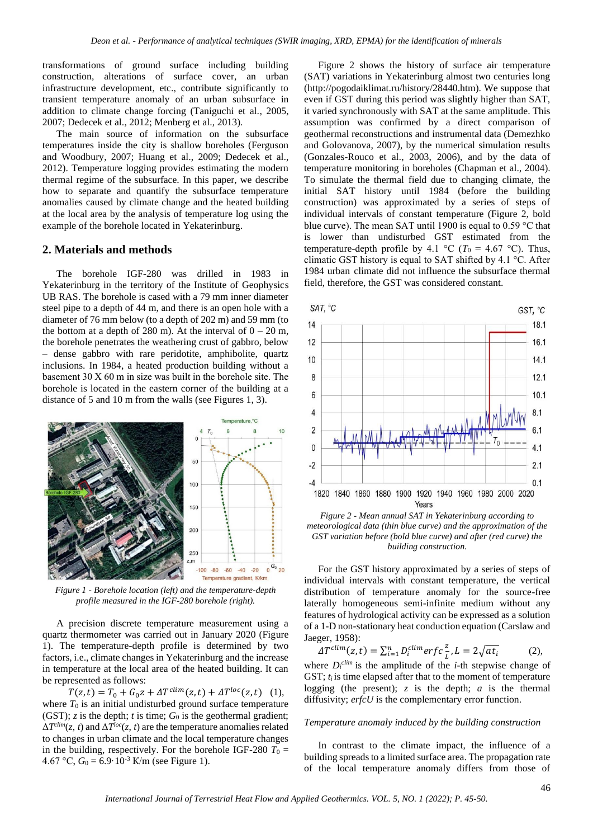transformations of ground surface including building construction, alterations of surface cover, an urban infrastructure development, etc., contribute significantly to transient temperature anomaly of an urban subsurface in addition to climate change forcing (Taniguchi et al., 2005, 2007; Dedecek et al., 2012; Menberg et al., 2013).

The main source of information on the subsurface temperatures inside the city is shallow boreholes (Ferguson and Woodbury, 2007; Huang et al., 2009; Dedecek et al., 2012). Temperature logging provides estimating the modern thermal regime of the subsurface. In this paper, we describe how to separate and quantify the subsurface temperature anomalies caused by climate change and the heated building at the local area by the analysis of temperature log using the example of the borehole located in Yekaterinburg.

# **2. Materials and methods**

The borehole IGF-280 was drilled in 1983 in Yekaterinburg in the territory of the Institute of Geophysics UB RAS. The borehole is cased with a 79 mm inner diameter steel pipe to a depth of 44 m, and there is an open hole with a diameter of 76 mm below (to a depth of 202 m) and 59 mm (to the bottom at a depth of 280 m). At the interval of  $0 - 20$  m, the borehole penetrates the weathering crust of gabbro, below – dense gabbro with rare peridotite, amphibolite, quartz inclusions. In 1984, a heated production building without a basement 30 Х 60 m in size was built in the borehole site. The borehole is located in the eastern corner of the building at a distance of 5 and 10 m from the walls (see Figures 1, 3).



*Figure 1 - Borehole location (left) and the temperature-depth profile measured in the IGF-280 borehole (right).*

A precision discrete temperature measurement using a quartz thermometer was carried out in January 2020 (Figure 1). The temperature-depth profile is determined by two factors, i.e., climate changes in Yekaterinburg and the increase in temperature at the local area of the heated building. It can be represented as follows:

 $T(z,t) = T_0 + G_0 z + \Delta T^{clim}(z,t) + \Delta T^{loc}(z,t)$  (1), where  $T_0$  is an initial undisturbed ground surface temperature (GST); *z* is the depth; *t* is time;  $G_0$  is the geothermal gradient;  $\Delta T^{elim}(z, t)$  and  $\Delta T^{loc}(z, t)$  are the temperature anomalies related to changes in urban climate and the local temperature changes in the building, respectively. For the borehole IGF-280  $T_0$  = 4.67 °C,  $G_0 = 6.9 \cdot 10^{-3}$  K/m (see Figure 1).

Figure 2 shows the history of surface air temperature (SAT) variations in Yekaterinburg almost two centuries long (http://pogodaiklimat.ru/history/28440.htm). We suppose that even if GST during this period was slightly higher than SAT, it varied synchronously with SAT at the same amplitude. This assumption was confirmed by a direct comparison of geothermal reconstructions and instrumental data (Demezhko and Golovanova, 2007), by the numerical simulation results (Gonzales-Rouco et al., 2003, 2006), and by the data of temperature monitoring in boreholes (Chapman et al., 2004). To simulate the thermal field due to changing climate, the initial SAT history until 1984 (before the building construction) was approximated by a series of steps of individual intervals of constant temperature (Figure 2, bold blue curve). The mean SAT until 1900 is equal to 0.59 °С that is lower than undisturbed GST estimated from the temperature-depth profile by 4.1 °C ( $T_0 = 4.67$  °C). Thus, climatic GST history is equal to SAT shifted by 4.1 °С. After 1984 urban climate did not influence the subsurface thermal field, therefore, the GST was considered constant.



*Figure 2 - Mean annual SAT in Yekaterinburg according to meteorological data (thin blue curve) and the approximation of the GST variation before (bold blue curve) and after (red curve) the building construction.*

For the GST history approximated by a series of steps of individual intervals with constant temperature, the vertical distribution of temperature anomaly for the source-free laterally homogeneous semi-infinite medium without any features of hydrological activity can be expressed as a solution of a 1-D non-stationary heat conduction equation (Carslaw and Jaeger, 1958):

$$
\Delta T^{clim}(z,t) = \sum_{i=1}^{n} D_i^{clim} erfc \frac{z}{L}, L = 2\sqrt{at_i}
$$
 (2),

where  $D_i^{clim}$  is the amplitude of the *i*-th stepwise change of GST;  $t_i$  is time elapsed after that to the moment of temperature logging (the present);  $z$  is the depth;  $a$  is the thermal diffusivity; *erfcU* is the complementary error function.

#### *Temperature anomaly induced by the building construction*

In contrast to the climate impact, the influence of a building spreads to a limited surface area. The propagation rate of the local temperature anomaly differs from those of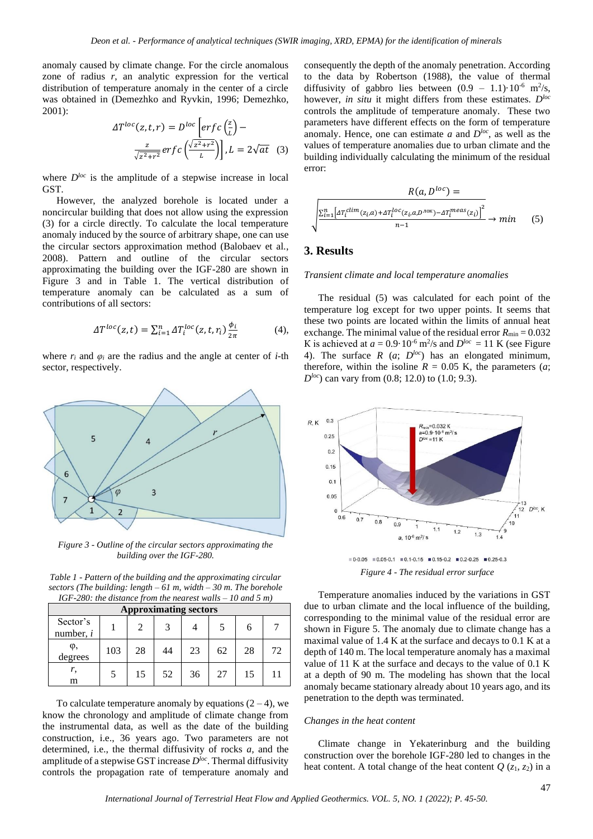anomaly caused by climate change. For the circle anomalous zone of radius *r*, an analytic expression for the vertical distribution of temperature anomaly in the center of a circle was obtained in (Demezhko and Ryvkin, 1996; Demezhko, 2001):

$$
\Delta T^{loc}(z, t, r) = D^{loc} \left[ erf c \left( \frac{z}{L} \right) - \frac{z}{\sqrt{z^2 + r^2}} erf c \left( \frac{\sqrt{z^2 + r^2}}{L} \right) \right], L = 2\sqrt{at} \quad (3)
$$

where  $D^{loc}$  is the amplitude of a stepwise increase in local GST.

However, the analyzed borehole is located under a noncircular building that does not allow using the expression (3) for a circle directly. To calculate the local temperature anomaly induced by the source of arbitrary shape, one can use the circular sectors approximation method (Balobaev et al., 2008). Pattern and outline of the circular sectors approximating the building over the IGF-280 are shown in Figure 3 and in Table 1. The vertical distribution of temperature anomaly can be calculated as a sum of contributions of all sectors:

$$
\Delta T^{loc}(z,t) = \sum_{i=1}^{n} \Delta T_i^{loc}(z,t,r_i) \frac{\phi_i}{2\pi}
$$
 (4),

where  $r_i$  and  $\varphi_i$  are the radius and the angle at center of *i*-th sector, respectively.



*Figure 3 - Outline of the circular sectors approximating the building over the IGF-280.*

*Table 1 - Pattern of the building and the approximating circular sectors (The building: length – 61 m, width – 30 m. The borehole IGF-280: the distance from the nearest walls – 10 and 5 m)*

| <b>Approximating sectors</b> |     |    |    |    |    |    |    |  |
|------------------------------|-----|----|----|----|----|----|----|--|
| Sector's<br>number, $i$      |     |    |    |    |    | 6  |    |  |
| $\varphi$ ,<br>degrees       | 103 | 28 | 44 | 23 | 62 | 28 | 72 |  |
| r,<br>m                      |     | 15 | 52 | 36 | 27 | 15 |    |  |

To calculate temperature anomaly by equations  $(2 – 4)$ , we know the chronology and amplitude of climate change from the instrumental data, as well as the date of the building construction, i.e., 36 years ago. Two parameters are not determined, i.e., the thermal diffusivity of rocks *a,* and the amplitude of a stepwise GST increase *Dloc*. Thermal diffusivity controls the propagation rate of temperature anomaly and

consequently the depth of the anomaly penetration. According to the data by Robertson (1988), the value of thermal diffusivity of gabbro lies between  $(0.9 - 1.1) \cdot 10^{-6}$  m<sup>2</sup>/s, however, *in situ* it might differs from these estimates. *Dloc* controls the amplitude of temperature anomaly. These two parameters have different effects on the form of temperature anomaly. Hence, one can estimate *a* and *Dloc*, as well as the values of temperature anomalies due to urban climate and the building individually calculating the minimum of the residual error:

$$
R(a, D^{loc}) = \sqrt{\frac{\sum_{i=1}^{n} \left[ A T_i^{clim}(z_i, a) + A T_i^{loc}(z_i, a, D^{10K}) - A T_i^{meas}(z_i) \right]^2}{n-1}} \rightarrow min \quad (5)
$$

### **3. Results**

#### *Transient climate and local temperature anomalies*

The residual (5) was calculated for each point of the temperature log except for two upper points. It seems that these two points are located within the limits of annual heat exchange. The minimal value of the residual error  $R_{\text{min}} = 0.032$ K is achieved at  $a = 0.9 \cdot 10^{-6}$  m<sup>2</sup>/s and  $D^{loc} = 11$  K (see Figure 4). The surface *R* (*a*; *Dloc*) has an elongated minimum, therefore, within the isoline  $R = 0.05$  K, the parameters (*a*; *D*<sup>*loc*</sup>) can vary from (0.8; 12.0) to (1.0; 9.3).



 $\blacksquare$  0-0.05  $\blacksquare$  0.05-0.1  $\blacksquare$  0.1-0.15  $\blacksquare$  0.15-0.2  $\blacksquare$  0.2-0.25  $\blacksquare$  0.25-0.3 *Figure 4 - The residual error surface*

Temperature anomalies induced by the variations in GST due to urban climate and the local influence of the building, corresponding to the minimal value of the residual error are shown in Figure 5. The anomaly due to climate change has a maximal value of 1.4 K at the surface and decays to 0.1 K at a depth of 140 m. The local temperature anomaly has a maximal value of 11 K at the surface and decays to the value of 0.1 K at a depth of 90 m. The modeling has shown that the local anomaly became stationary already about 10 years ago, and its penetration to the depth was terminated.

#### *Changes in the heat content*

Climate change in Yekaterinburg and the building construction over the borehole IGF-280 led to changes in the heat content. A total change of the heat content  $Q(z_1, z_2)$  in a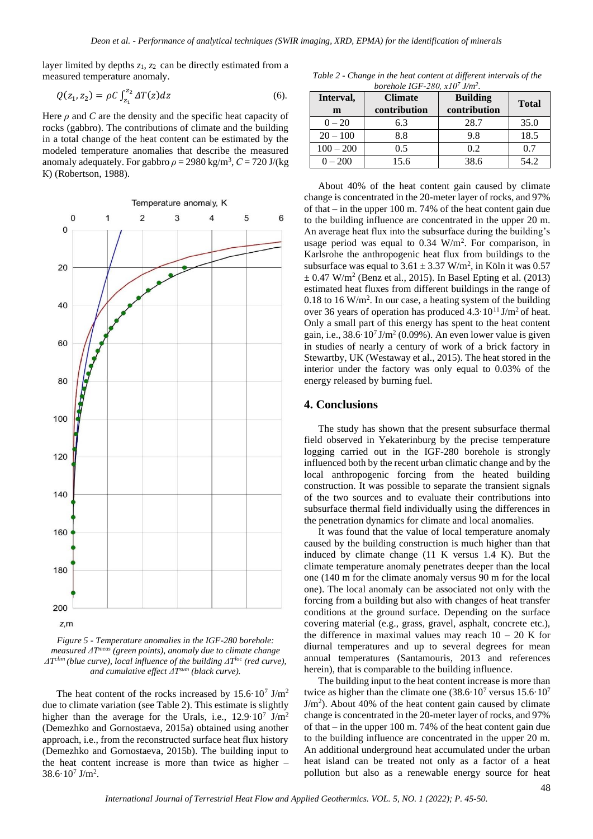layer limited by depths *z*1, *z*2 can be directly estimated from a measured temperature anomaly.

$$
Q(z_1, z_2) = \rho C \int_{z_1}^{z_2} \Delta T(z) dz
$$
 (6).

Here *ρ* and *C* are the density and the specific heat capacity of rocks (gabbro). The contributions of climate and the building in a total change of the heat content can be estimated by the modeled temperature anomalies that describe the measured anomaly adequately. For gabbro  $\rho = 2980 \text{ kg/m}^3$ ,  $C = 720 \text{ J/(kg)}$ К) (Robertson, 1988).



*Figure 5 - Temperature anomalies in the IGF-280 borehole: measured ΔT meas (green points), anomaly due to climate change ΔT clim (blue curve), local influence of the building ΔT loc (red curve), and cumulative effect ΔT sum (black curve).*

The heat content of the rocks increased by  $15.6 \cdot 10^7$  J/m<sup>2</sup> due to climate variation (see Table 2). This estimate is slightly higher than the average for the Urals, i.e.,  $12.9 \cdot 10^7$  J/m<sup>2</sup> (Demezhko and Gornostaeva, 2015a) obtained using another approach, i.e., from the reconstructed surface heat flux history (Demezhko and Gornostaeva, 2015b). The building input to the heat content increase is more than twice as higher –  $38.6 \cdot 10^7$  J/m<sup>2</sup>.

*Table 2 - Change in the heat content at different intervals of the borehole IGF-280, х10<sup>7</sup> J/m<sup>2</sup> .*

| Interval,<br>m | <b>Climate</b><br>contribution | <b>Building</b><br>contribution | <b>Total</b> |  |
|----------------|--------------------------------|---------------------------------|--------------|--|
| $0 - 20$       | 6.3                            | 28.7                            | 35.0         |  |
| $20 - 100$     | 8.8                            | 9.8                             | 18.5         |  |
| $100 - 200$    | 0.5                            | 0.2                             | 0.7          |  |
| $0 - 200$      | 15.6                           | 38.6                            | 54.2         |  |

About 40% of the heat content gain caused by climate change is concentrated in the 20-meter layer of rocks, and 97% of that – in the upper 100 m. 74% of the heat content gain due to the building influence are concentrated in the upper 20 m. An average heat flux into the subsurface during the building's usage period was equal to  $0.34 \text{ W/m}^2$ . For comparison, in Karlsrohe the anthropogenic heat flux from buildings to the subsurface was equal to  $3.61 \pm 3.37$  W/m<sup>2</sup>, in Köln it was 0.57  $\pm$  0.47 W/m<sup>2</sup> (Benz et al., 2015). In Basel Epting et al. (2013) estimated heat fluxes from different buildings in the range of 0.18 to 16  $W/m<sup>2</sup>$ . In our case, a heating system of the building over 36 years of operation has produced  $4.3 \cdot 10^{11}$  J/m<sup>2</sup> of heat. Only a small part of this energy has spent to the heat content gain, i.e.,  $38.6 \cdot 10^7 \text{ J/m}^2$  (0.09%). An even lower value is given in studies of nearly a century of work of a brick factory in Stewartby, UK (Westaway et al., 2015). The heat stored in the interior under the factory was only equal to 0.03% of the energy released by burning fuel.

#### **4. Conclusions**

The study has shown that the present subsurface thermal field observed in Yekaterinburg by the precise temperature logging carried out in the IGF-280 borehole is strongly influenced both by the recent urban climatic change and by the local anthropogenic forcing from the heated building construction. It was possible to separate the transient signals of the two sources and to evaluate their contributions into subsurface thermal field individually using the differences in the penetration dynamics for climate and local anomalies.

It was found that the value of local temperature anomaly caused by the building construction is much higher than that induced by climate change (11 K versus 1.4 K). But the climate temperature anomaly penetrates deeper than the local one (140 m for the climate anomaly versus 90 m for the local one). The local anomaly can be associated not only with the forcing from a building but also with changes of heat transfer conditions at the ground surface. Depending on the surface covering material (e.g., grass, gravel, asphalt, concrete etc.), the difference in maximal values may reach  $10 - 20$  K for diurnal temperatures and up to several degrees for mean annual temperatures (Santamouris, 2013 and references herein), that is comparable to the building influence.

The building input to the heat content increase is more than twice as higher than the climate one  $(38.6 \cdot 10^7 \text{ versus } 15.6 \cdot 10^7 \text{)}$  $J/m<sup>2</sup>$ ). About 40% of the heat content gain caused by climate change is concentrated in the 20-meter layer of rocks, and 97% of that – in the upper 100 m. 74% of the heat content gain due to the building influence are concentrated in the upper 20 m. An additional underground heat accumulated under the urban heat island can be treated not only as a factor of a heat pollution but also as a renewable energy source for heat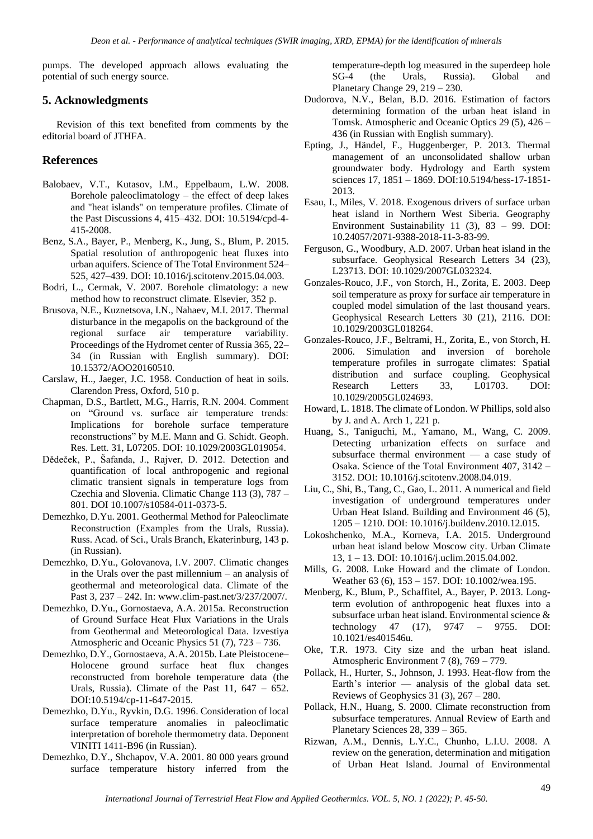pumps. The developed approach allows evaluating the potential of such energy source.

# **5. Acknowledgments**

Revision of this text benefited from comments by the editorial board of JTHFA.

# **References**

- Balobaev, V.T., Kutasov, I.M., Eppelbaum, L.W. 2008. Borehole paleoclimatology – the effect of deep lakes and "heat islands" on temperature profiles. Climate of the Past Discussions 4, 415–432. DOI: 10.5194/cpd-4- 415-2008.
- Benz, S.A., Bayer, P., Menberg, K., Jung, S., Blum, P. 2015. Spatial resolution of anthropogenic heat fluxes into urban aquifers. Science of The Total Environment 524– 525, 427–439. DOI: 10.1016/j.scitotenv.2015.04.003.
- Bodri, L., Cermak, V. 2007. Borehole climatology: a new method how to reconstruct climate. Elsevier, 352 p.
- Brusova, N.E., Kuznetsova, I.N., Nahaev, M.I. 2017. Thermal disturbance in the megapolis on the background of the regional surface air temperature variability. Proceedings of the Hydromet center of Russia 365, 22– 34 (in Russian with English summary). DOI: 10.15372/AOO20160510.
- Carslaw, H.., Jaeger, J.C. 1958. Conduction of heat in soils. Clarendon Press, Oxford, 510 p.
- Chapman, D.S., Bartlett, M.G., Harris, R.N. 2004. Comment on "Ground vs. surface air temperature trends: Implications for borehole surface temperature reconstructions" by M.E. Mann and G. Schidt. Geoph. Res. Lett. 31, L07205. DOI: [10.1029/2003GL019054.](https://doi.org/10.1029/2003GL019054)
- Dědeček, P., Šafanda, J., Rajver, D. 2012. Detection and quantification of local anthropogenic and regional climatic transient signals in temperature logs from Czechia and Slovenia. Climatic Change 113 (3), 787 – 801. DOI 10.1007/s10584-011-0373-5.
- Demezhko, D.Yu. 2001. Geothermal Method for Paleoclimate Reconstruction (Examples from the Urals, Russia). Russ. Acad. of Sci., Urals Branch, Ekaterinburg, 143 p. (in Russian).
- Demezhko, D.Yu., Golovanova, I.V. 2007. Climatic changes in the Urals over the past millennium – an analysis of geothermal and meteorological data. Climate of the Past 3, 237 – 242. In: [www.clim-past.net/3/237/2007/.](http://www.clim-past.net/3/237/2007/)
- Demezhko, D.Yu., Gornostaeva, A.A. 2015a. Reconstruction of Ground Surface Heat Flux Variations in the Urals from Geothermal and Meteorological Data. Izvestiya Atmospheric and Oceanic Physics 51 (7), 723 – 736.
- Demezhko, D.Y., Gornostaeva, A.A. 2015b. Late Pleistocene– Holocene ground surface heat flux changes reconstructed from borehole temperature data (the Urals, Russia). Climate of the Past  $11, 647 - 652$ . DOI:10.5194/cp-11-647-2015.
- Demezhko, D.Yu., Ryvkin, D.G. 1996. Consideration of local surface temperature anomalies in paleoclimatic interpretation of borehole thermometry data. Deponent VINITI 1411-B96 (in Russian).
- Demezhko, D.Y., Shchapov, V.A. 2001. 80 000 years ground surface temperature history inferred from the

temperature-depth log measured in the superdeep hole SG-4 (the Urals, Russia). Global and Planetary Change 29, 219 – 230.

- Dudorova, N.V., Belan, B.D. 2016. Estimation of factors determining formation of the urban heat island in Tomsk[. Atmospheric and Oceanic Optics](https://sibran.ru/en/journals/OptAiO/) 29 (5), 426 – 436 (in Russian with English summary).
- Epting, J., Händel, F., Huggenberger, P. 2013. Thermal management of an unconsolidated shallow urban groundwater body. Hydrology and Earth system sciences 17, 1851 – 1869. DOI:10.5194/hess-17-1851-2013.
- Esau, I., Miles, V. 2018. Exogenous drivers of surface urban heat island in Northern West Siberia. Geography Environment Sustainability 11 (3), 83 – 99. DOI: 10.24057/2071-9388-2018-11-3-83-99.
- Ferguson, G., Woodbury, A.D. 2007. Urban heat island in the subsurface. Geophysical Research Letters 34 (23), L23713. DOI: 10.1029/2007GL032324.
- Gonzales-Rouco, J.F., von Storch, H., Zorita, E. 2003. Deep soil temperature as proxy for surface air temperature in coupled model simulation of the last thousand years. Geophysical Research Letters 30 (21), 2116. DOI: [10.1029/2003GL018264.](https://doi.org/10.1029/2003GL018264)
- Gonzales-Rouco, J.F., Beltrami, H., Zorita, E., von Storch, H. 2006. Simulation and inversion of borehole temperature profiles in surrogate climates: Spatial distribution and surface coupling. Geophysical Research Letters 33, L01703. DOI: [10.1029/2005GL024693.](https://doi.org/10.1029/2005GL024693)
- Howard, L. 1818. The climate of London. W Phillips, sold also by J. and A. Arch 1, 221 p.
- Huang, S., Taniguchi, M., Yamano, M., Wang, C. 2009. Detecting urbanization effects on surface and subsurface thermal environment — a case study of Osaka. Science of the Total Environment 407, 3142 – 3152. DOI: [10.1016/j.scitotenv.2008.04.019.](https://doi.org/10.1016/j.scitotenv.2008.04.019)
- Liu, C., Shi, B., Tang, C., Gao, L. 2011. A numerical and field investigation of underground temperatures under Urban Heat Island. Building and Environment 46 (5), 1205 – 1210. DOI: 10.1016/j.buildenv.2010.12.015.
- Lokoshchenko, M.A., Korneva, I.A. 2015. Underground urban heat island below Moscow city. Urban Climate 13, 1 – 13. DOI: 10.1016/j.uclim.2015.04.002.
- Mills, G. 2008. Luke Howard and the climate of London. Weather 63 (6), 153 – 157. DOI: 10.1002/wea.195.
- Menberg, K., Blum, P., Schaffitel, A., Bayer, P. 2013. Longterm evolution of anthropogenic heat fluxes into a subsurface urban heat island. Environmental science & technology 47 (17), 9747 – 9755. DOI: 10.1021/es401546u.
- Oke, T.R. 1973. City size and the urban heat island. Atmospheric Environment 7 (8), 769 – 779.
- Pollack, H., Hurter, S., Johnson, J. 1993. Heat-flow from the Earth's interior — analysis of the global data set. Reviews of Geophysics 31  $(3)$ , 267 – 280.
- Pollack, H.N., Huang, S. 2000. Climate reconstruction from subsurface temperatures. Annual Review of Earth and Planetary Sciences 28, 339 – 365.
- Rizwan, A.M., Dennis, L.Y.C., Chunho, L.I.U. 2008. A review on the generation, determination and mitigation of Urban Heat Island. Journal of Environmental